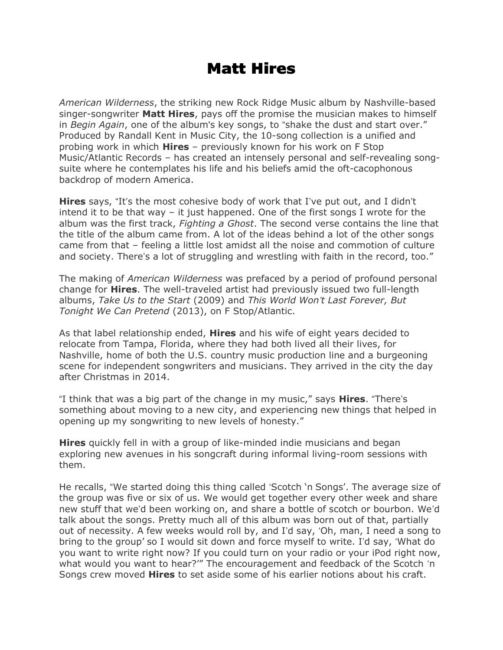## Matt Hires

American Wilderness, the striking new Rock Ridge Music album by Nashville-based singer-songwriter **Matt Hires**, pays off the promise the musician makes to himself in Begin Again, one of the album's key songs, to "shake the dust and start over." Produced by Randall Kent in Music City, the 10-song collection is a unified and probing work in which **Hires** – previously known for his work on F Stop Music/Atlantic Records – has created an intensely personal and self-revealing songsuite where he contemplates his life and his beliefs amid the oft-cacophonous backdrop of modern America.

**Hires** says, "It's the most cohesive body of work that I've put out, and I didn't intend it to be that way – it just happened. One of the first songs I wrote for the album was the first track, *Fighting a Ghost*. The second verse contains the line that the title of the album came from. A lot of the ideas behind a lot of the other songs came from that – feeling a little lost amidst all the noise and commotion of culture and society. There's a lot of struggling and wrestling with faith in the record, too."

The making of American Wilderness was prefaced by a period of profound personal change for Hires. The well-traveled artist had previously issued two full-length albums, Take Us to the Start (2009) and This World Won't Last Forever, But Tonight We Can Pretend (2013), on F Stop/Atlantic.

As that label relationship ended, **Hires** and his wife of eight years decided to relocate from Tampa, Florida, where they had both lived all their lives, for Nashville, home of both the U.S. country music production line and a burgeoning scene for independent songwriters and musicians. They arrived in the city the day after Christmas in 2014.

"I think that was a big part of the change in my music," says **Hires**. "There's something about moving to a new city, and experiencing new things that helped in opening up my songwriting to new levels of honesty."

**Hires** quickly fell in with a group of like-minded indie musicians and began exploring new avenues in his songcraft during informal living-room sessions with them.

He recalls, "We started doing this thing called 'Scotch 'n Songs'. The average size of the group was five or six of us. We would get together every other week and share new stuff that we'd been working on, and share a bottle of scotch or bourbon. We'd talk about the songs. Pretty much all of this album was born out of that, partially out of necessity. A few weeks would roll by, and I'd say, 'Oh, man, I need a song to bring to the group' so I would sit down and force myself to write. I'd say, 'What do you want to write right now? If you could turn on your radio or your iPod right now, what would you want to hear?'" The encouragement and feedback of the Scotch 'n Songs crew moved **Hires** to set aside some of his earlier notions about his craft.